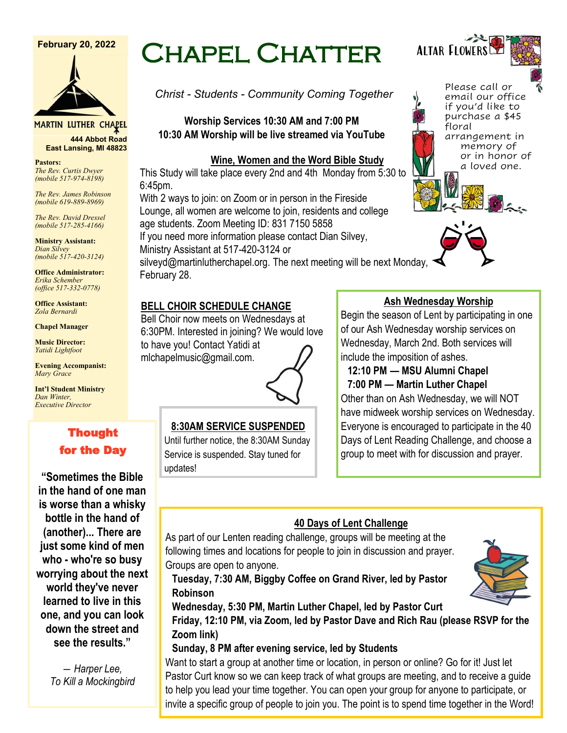#### **February 20, 2022**



MARTIN LUTHER CHAPEL

**444 Abbot Road East Lansing, MI 48823**

**Pastors:** *The Rev. Curtis Dwyer (mobile 517-974-8198)*

*The Rev. James Robinson (mobile 619-889-8969)*

*The Rev. David Dressel (mobile 517-285-4166)*

**Ministry Assistant:**  *Dian Silvey (mobile 517-420-3124)*

**Office Administrator:** *Erika Schember (office 517-332-0778)*

**Office Assistant:** *Zola Bernardi*

**Chapel Manager** 

**Music Director:** *Yatidi Lightfoot* 

**Evening Accompanist:** *Mary Grace*

**Int'l Student Ministry** *Dan Winter, Executive Director*

# Thought for the Day

**"Sometimes the Bible in the hand of one man is worse than a whisky bottle in the hand of (another)... There are just some kind of men who - who're so busy worrying about the next world they've never learned to live in this one, and you can look down the street and see the results."**

> *― Harper Lee, To Kill a Mockingbird*

# Chapel Chatter

*Christ - Students - Community Coming Together*

**Worship Services 10:30 AM and 7:00 PM 10:30 AM Worship will be live streamed via YouTube**

## **Wine, Women and the Word Bible Study**

This Study will take place every 2nd and 4th Monday from 5:30 to 6:45pm.

With 2 ways to join: on Zoom or in person in the Fireside Lounge, all women are welcome to join, residents and college age students. Zoom Meeting ID: 831 7150 5858

If you need more information please contact Dian Silvey, Ministry Assistant at 517-420-3124 or

silveyd@martinlutherchapel.org. The next meeting will be next Monday, February 28.

## **BELL CHOIR SCHEDULE CHANGE**

Bell Choir now meets on Wednesdays at 6:30PM. Interested in joining? We would love to have you! Contact Yatidi at mlchapelmusic@gmail.com.

## **8:30AM SERVICE SUSPENDED**

Until further notice, the 8:30AM Sunday Service is suspended. Stay tuned for updates!

**Zoom link)**

## **Ash Wednesday Worship**

Begin the season of Lent by participating in one of our Ash Wednesday worship services on Wednesday, March 2nd. Both services will include the imposition of ashes.

## **12:10 PM — MSU Alumni Chapel 7:00 PM — Martin Luther Chapel**

Other than on Ash Wednesday, we will NOT have midweek worship services on Wednesday. Everyone is encouraged to participate in the 40 Days of Lent Reading Challenge, and choose a group to meet with for discussion and prayer.

## **40 Days of Lent Challenge**

As part of our Lenten reading challenge, groups will be meeting at the following times and locations for people to join in discussion and prayer. Groups are open to anyone.

**Tuesday, 7:30 AM, Biggby Coffee on Grand River, led by Pastor Robinson**



**Wednesday, 5:30 PM, Martin Luther Chapel, led by Pastor Curt Friday, 12:10 PM, via Zoom, led by Pastor Dave and Rich Rau (please RSVP for the** 

**Sunday, 8 PM after evening service, led by Students**

Want to start a group at another time or location, in person or online? Go for it! Just let Pastor Curt know so we can keep track of what groups are meeting, and to receive a guide to help you lead your time together. You can open your group for anyone to participate, or invite a specific group of people to join you. The point is to spend time together in the Word!



Please call or